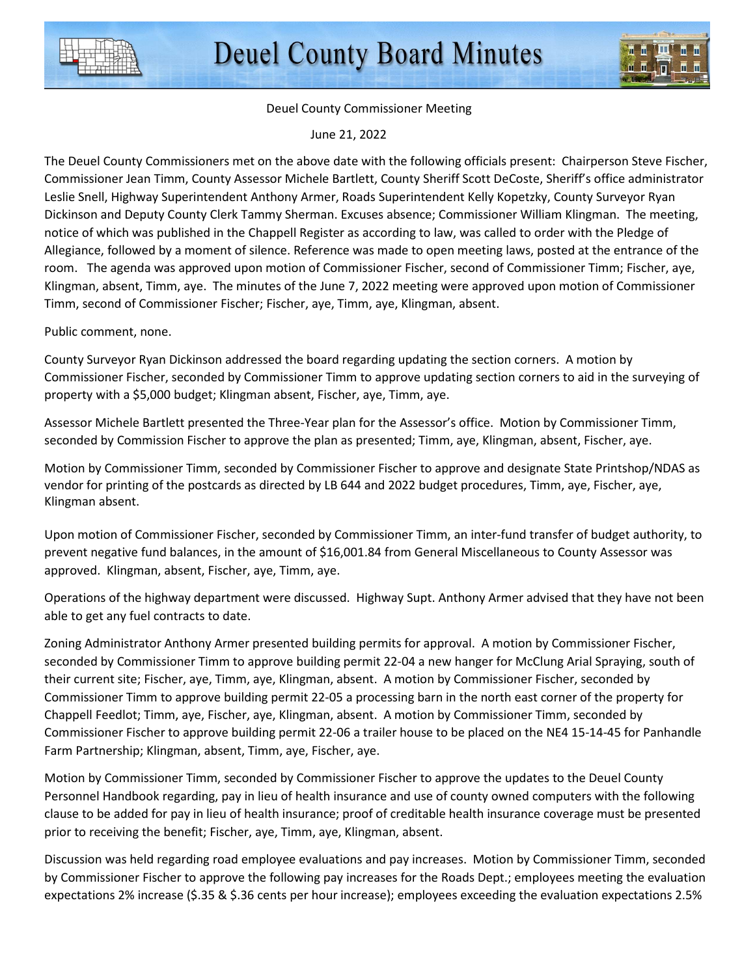

## Deuel County Commissioner Meeting

June 21, 2022

The Deuel County Commissioners met on the above date with the following officials present: Chairperson Steve Fischer, Commissioner Jean Timm, County Assessor Michele Bartlett, County Sheriff Scott DeCoste, Sheriff's office administrator Leslie Snell, Highway Superintendent Anthony Armer, Roads Superintendent Kelly Kopetzky, County Surveyor Ryan Dickinson and Deputy County Clerk Tammy Sherman. Excuses absence; Commissioner William Klingman. The meeting, notice of which was published in the Chappell Register as according to law, was called to order with the Pledge of Allegiance, followed by a moment of silence. Reference was made to open meeting laws, posted at the entrance of the room. The agenda was approved upon motion of Commissioner Fischer, second of Commissioner Timm; Fischer, aye, Klingman, absent, Timm, aye. The minutes of the June 7, 2022 meeting were approved upon motion of Commissioner Timm, second of Commissioner Fischer; Fischer, aye, Timm, aye, Klingman, absent.

Public comment, none.

County Surveyor Ryan Dickinson addressed the board regarding updating the section corners. A motion by Commissioner Fischer, seconded by Commissioner Timm to approve updating section corners to aid in the surveying of property with a \$5,000 budget; Klingman absent, Fischer, aye, Timm, aye.

Assessor Michele Bartlett presented the Three-Year plan for the Assessor's office. Motion by Commissioner Timm, seconded by Commission Fischer to approve the plan as presented; Timm, aye, Klingman, absent, Fischer, aye.

Motion by Commissioner Timm, seconded by Commissioner Fischer to approve and designate State Printshop/NDAS as vendor for printing of the postcards as directed by LB 644 and 2022 budget procedures, Timm, aye, Fischer, aye, Klingman absent.

Upon motion of Commissioner Fischer, seconded by Commissioner Timm, an inter-fund transfer of budget authority, to prevent negative fund balances, in the amount of \$16,001.84 from General Miscellaneous to County Assessor was approved. Klingman, absent, Fischer, aye, Timm, aye.

Operations of the highway department were discussed. Highway Supt. Anthony Armer advised that they have not been able to get any fuel contracts to date.

Zoning Administrator Anthony Armer presented building permits for approval. A motion by Commissioner Fischer, seconded by Commissioner Timm to approve building permit 22-04 a new hanger for McClung Arial Spraying, south of their current site; Fischer, aye, Timm, aye, Klingman, absent. A motion by Commissioner Fischer, seconded by Commissioner Timm to approve building permit 22-05 a processing barn in the north east corner of the property for Chappell Feedlot; Timm, aye, Fischer, aye, Klingman, absent. A motion by Commissioner Timm, seconded by Commissioner Fischer to approve building permit 22-06 a trailer house to be placed on the NE4 15-14-45 for Panhandle Farm Partnership; Klingman, absent, Timm, aye, Fischer, aye.

Motion by Commissioner Timm, seconded by Commissioner Fischer to approve the updates to the Deuel County Personnel Handbook regarding, pay in lieu of health insurance and use of county owned computers with the following clause to be added for pay in lieu of health insurance; proof of creditable health insurance coverage must be presented prior to receiving the benefit; Fischer, aye, Timm, aye, Klingman, absent.

Discussion was held regarding road employee evaluations and pay increases. Motion by Commissioner Timm, seconded by Commissioner Fischer to approve the following pay increases for the Roads Dept.; employees meeting the evaluation expectations 2% increase (\$.35 & \$.36 cents per hour increase); employees exceeding the evaluation expectations 2.5%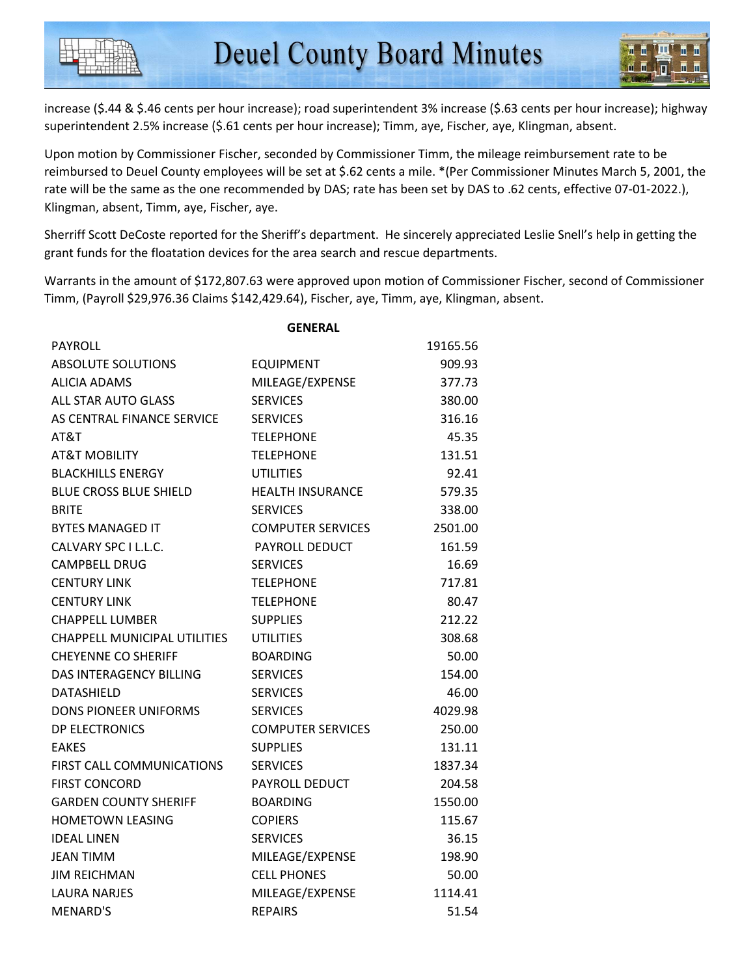increase (\$.44 & \$.46 cents per hour increase); road superintendent 3% increase (\$.63 cents per hour increase); highway superintendent 2.5% increase (\$.61 cents per hour increase); Timm, aye, Fischer, aye, Klingman, absent.

Upon motion by Commissioner Fischer, seconded by Commissioner Timm, the mileage reimbursement rate to be reimbursed to Deuel County employees will be set at \$.62 cents a mile. \*(Per Commissioner Minutes March 5, 2001, the rate will be the same as the one recommended by DAS; rate has been set by DAS to .62 cents, effective 07-01-2022.), Klingman, absent, Timm, aye, Fischer, aye.

Sherriff Scott DeCoste reported for the Sheriff's department. He sincerely appreciated Leslie Snell's help in getting the grant funds for the floatation devices for the area search and rescue departments.

Warrants in the amount of \$172,807.63 were approved upon motion of Commissioner Fischer, second of Commissioner Timm, (Payroll \$29,976.36 Claims \$142,429.64), Fischer, aye, Timm, aye, Klingman, absent.

|                                     | <b>GENERAL</b>           |          |
|-------------------------------------|--------------------------|----------|
| PAYROLL                             |                          | 19165.56 |
| <b>ABSOLUTE SOLUTIONS</b>           | <b>EQUIPMENT</b>         | 909.93   |
| ALICIA ADAMS                        | MILEAGE/EXPENSE          | 377.73   |
| ALL STAR AUTO GLASS                 | <b>SERVICES</b>          | 380.00   |
| AS CENTRAL FINANCE SERVICE          | <b>SERVICES</b>          | 316.16   |
| AT&T                                | <b>TELEPHONE</b>         | 45.35    |
| <b>AT&amp;T MOBILITY</b>            | <b>TELEPHONE</b>         | 131.51   |
| <b>BLACKHILLS ENERGY</b>            | UTILITIES                | 92.41    |
| <b>BLUE CROSS BLUE SHIELD</b>       | <b>HEALTH INSURANCE</b>  | 579.35   |
| <b>BRITE</b>                        | <b>SERVICES</b>          | 338.00   |
| <b>BYTES MANAGED IT</b>             | <b>COMPUTER SERVICES</b> | 2501.00  |
| CALVARY SPC I L.L.C.                | <b>PAYROLL DEDUCT</b>    | 161.59   |
| <b>CAMPBELL DRUG</b>                | <b>SERVICES</b>          | 16.69    |
| <b>CENTURY LINK</b>                 | <b>TELEPHONE</b>         | 717.81   |
| <b>CENTURY LINK</b>                 | <b>TELEPHONE</b>         | 80.47    |
| <b>CHAPPELL LUMBER</b>              | <b>SUPPLIES</b>          | 212.22   |
| <b>CHAPPELL MUNICIPAL UTILITIES</b> | <b>UTILITIES</b>         | 308.68   |
| <b>CHEYENNE CO SHERIFF</b>          | <b>BOARDING</b>          | 50.00    |
| <b>DAS INTERAGENCY BILLING</b>      | <b>SERVICES</b>          | 154.00   |
| <b>DATASHIELD</b>                   | <b>SERVICES</b>          | 46.00    |
| <b>DONS PIONEER UNIFORMS</b>        | <b>SERVICES</b>          | 4029.98  |
| DP ELECTRONICS                      | <b>COMPUTER SERVICES</b> | 250.00   |
| <b>FAKES</b>                        | <b>SUPPLIES</b>          | 131.11   |
| FIRST CALL COMMUNICATIONS           | <b>SERVICES</b>          | 1837.34  |
| <b>FIRST CONCORD</b>                | PAYROLL DEDUCT           | 204.58   |
| <b>GARDEN COUNTY SHERIFF</b>        | <b>BOARDING</b>          | 1550.00  |
| <b>HOMETOWN LEASING</b>             | <b>COPIERS</b>           | 115.67   |
| <b>IDEAL LINEN</b>                  | <b>SERVICES</b>          | 36.15    |
| JEAN TIMM                           | MILEAGE/EXPENSE          | 198.90   |
| <b>JIM REICHMAN</b>                 | <b>CELL PHONES</b>       | 50.00    |
| <b>LAURA NARJES</b>                 | MILEAGE/EXPENSE          | 1114.41  |
| <b>MENARD'S</b>                     | <b>REPAIRS</b>           | 51.54    |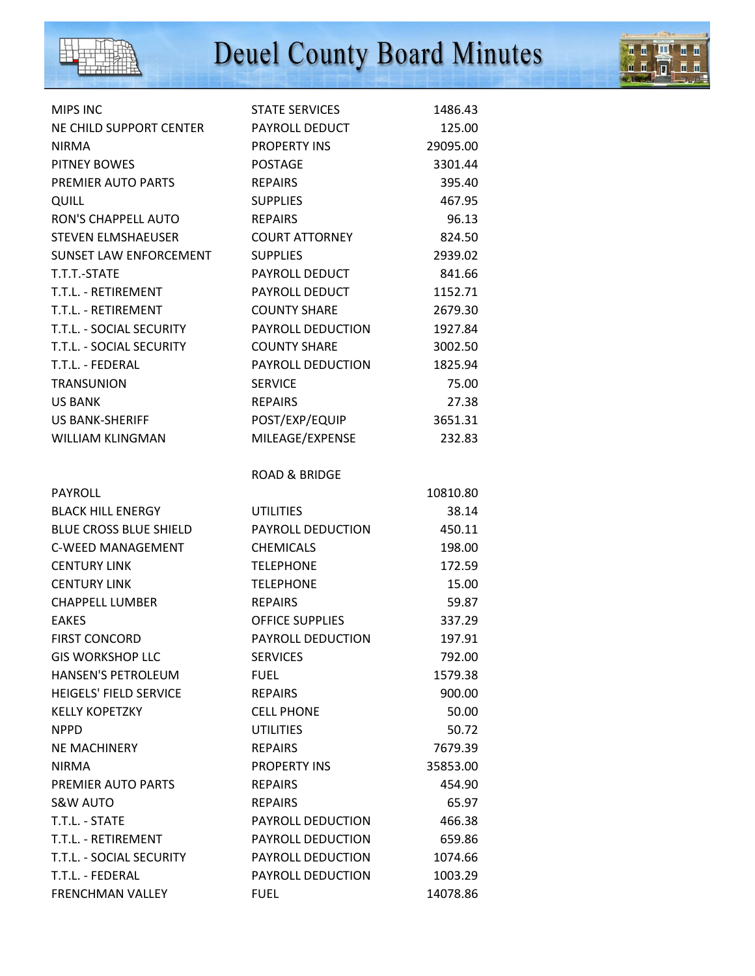

## Deuel County Board Minutes

**AILE** 

**Book** 

| <b>MIPS INC</b>               | <b>STATE SERVICES</b>    | 1486.43  |
|-------------------------------|--------------------------|----------|
| NE CHILD SUPPORT CENTER       | PAYROLL DEDUCT           | 125.00   |
| <b>NIRMA</b>                  | <b>PROPERTY INS</b>      | 29095.00 |
| PITNEY BOWES                  | <b>POSTAGE</b>           | 3301.44  |
| PREMIER AUTO PARTS            | <b>REPAIRS</b>           | 395.40   |
| <b>QUILL</b>                  | <b>SUPPLIES</b>          | 467.95   |
| RON'S CHAPPELL AUTO           | <b>REPAIRS</b>           | 96.13    |
| <b>STEVEN ELMSHAEUSER</b>     | <b>COURT ATTORNEY</b>    | 824.50   |
| SUNSET LAW ENFORCEMENT        | <b>SUPPLIES</b>          | 2939.02  |
| T.T.T.-STATE                  | PAYROLL DEDUCT           | 841.66   |
| T.T.L. - RETIREMENT           | PAYROLL DEDUCT           | 1152.71  |
| T.T.L. - RETIREMENT           | <b>COUNTY SHARE</b>      | 2679.30  |
| T.T.L. - SOCIAL SECURITY      | PAYROLL DEDUCTION        | 1927.84  |
| T.T.L. - SOCIAL SECURITY      | <b>COUNTY SHARE</b>      | 3002.50  |
| T.T.L. - FEDERAL              | PAYROLL DEDUCTION        | 1825.94  |
| <b>TRANSUNION</b>             | <b>SERVICE</b>           | 75.00    |
| US BANK                       | <b>REPAIRS</b>           | 27.38    |
| <b>US BANK-SHERIFF</b>        | POST/EXP/EQUIP           | 3651.31  |
| <b>WILLIAM KLINGMAN</b>       | MILEAGE/EXPENSE          | 232.83   |
|                               |                          |          |
|                               | <b>ROAD &amp; BRIDGE</b> |          |
| <b>PAYROLL</b>                |                          | 10810.80 |
| <b>BLACK HILL ENERGY</b>      | <b>UTILITIES</b>         | 38.14    |
| <b>BLUE CROSS BLUE SHIELD</b> | PAYROLL DEDUCTION        | 450.11   |
| <b>C-WEED MANAGEMENT</b>      | <b>CHEMICALS</b>         | 198.00   |
| <b>CENTURY LINK</b>           | <b>TELEPHONE</b>         | 172.59   |
| <b>CENTURY LINK</b>           | <b>TELEPHONE</b>         | 15.00    |
| <b>CHAPPELL LUMBER</b>        | <b>REPAIRS</b>           | 59.87    |
| <b>EAKES</b>                  | <b>OFFICE SUPPLIES</b>   | 337.29   |
| <b>FIRST CONCORD</b>          | PAYROLL DEDUCTION        | 197.91   |
| <b>GIS WORKSHOP LLC</b>       | <b>SERVICES</b>          | 792.00   |
| <b>HANSEN'S PETROLEUM</b>     | <b>FUEL</b>              | 1579.38  |
| <b>HEIGELS' FIELD SERVICE</b> | <b>REPAIRS</b>           | 900.00   |
| <b>KELLY KOPETZKY</b>         | <b>CELL PHONE</b>        | 50.00    |
| <b>NPPD</b>                   | <b>UTILITIES</b>         | 50.72    |
| NE MACHINERY                  | <b>REPAIRS</b>           | 7679.39  |
| <b>NIRMA</b>                  | <b>PROPERTY INS</b>      | 35853.00 |
| PREMIER AUTO PARTS            | <b>REPAIRS</b>           | 454.90   |
| <b>S&amp;W AUTO</b>           | <b>REPAIRS</b>           | 65.97    |
| T.T.L. - STATE                | PAYROLL DEDUCTION        | 466.38   |
| T.T.L. - RETIREMENT           | PAYROLL DEDUCTION        | 659.86   |
| T.T.L. - SOCIAL SECURITY      | PAYROLL DEDUCTION        | 1074.66  |
| T.T.L. - FEDERAL              | PAYROLL DEDUCTION        | 1003.29  |
| <b>FRENCHMAN VALLEY</b>       | <b>FUEL</b>              | 14078.86 |